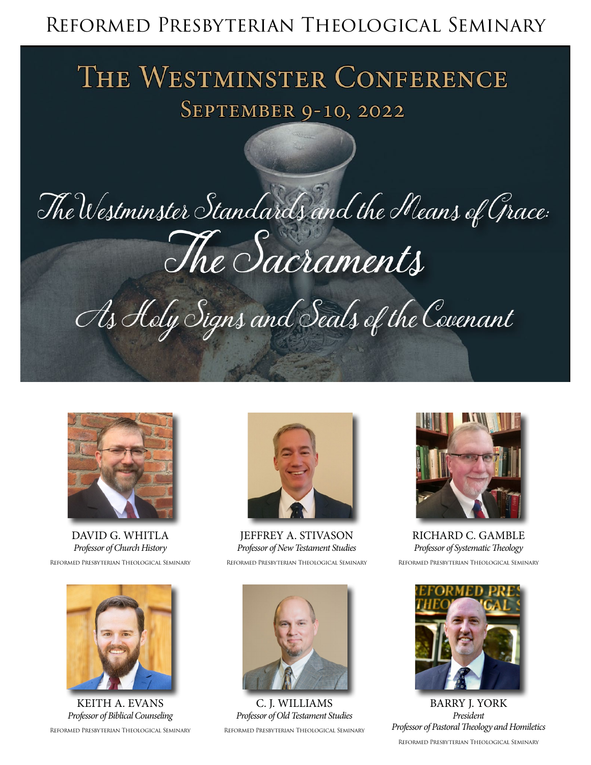### Reformed Presbyterian Theological Seminary

## THE WESTMINSTER CONFERENCE BOTMHIAOTER CONFE

# The Westminster Standards and the Means of Grace: The Sacraments

As Holy Signs and Seals of the Covenant



DAVID G. WHITLA *Professor of Church History* Reformed Presbyterian Theological Seminary



KEITH A. EVANS *Professor of Biblical Counseling*  Reformed Presbyterian Theological Seminary



JEFFREY A. STIVASON *Professor of New Testament Studies* Reformed Presbyterian Theological Seminary



C. J. WILLIAMS *Professor of Old Testament Studies* Reformed Presbyterian Theological Seminary



RICHARD C. GAMBLE *Professor of Systematic Theology* Reformed Presbyterian Theological Seminary



BARRY J. YORK *President Professor of Pastoral Theology and Homiletics* Reformed Presbyterian Theological Seminary